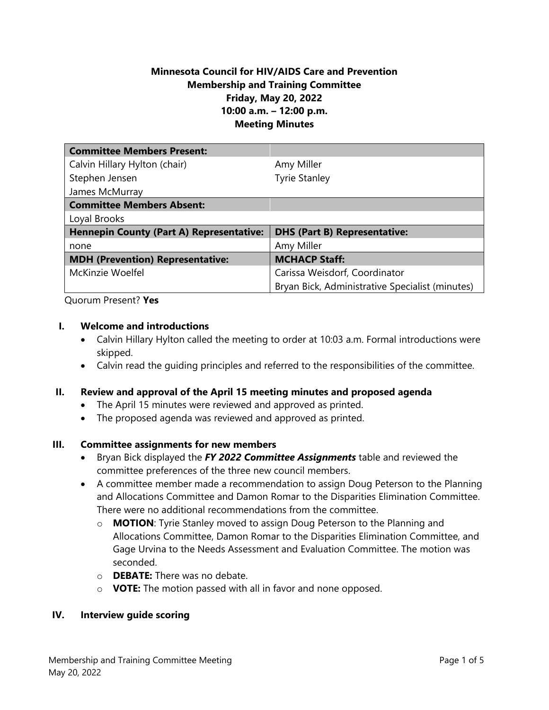### **Minnesota Council for HIV/AIDS Care and Prevention Membership and Training Committee Friday, May 20, 2022 10:00 a.m. – 12:00 p.m. Meeting Minutes**

| <b>Committee Members Present:</b>               |                                                 |
|-------------------------------------------------|-------------------------------------------------|
| Calvin Hillary Hylton (chair)                   | Amy Miller                                      |
| Stephen Jensen                                  | <b>Tyrie Stanley</b>                            |
| James McMurray                                  |                                                 |
| <b>Committee Members Absent:</b>                |                                                 |
| Loyal Brooks                                    |                                                 |
| <b>Hennepin County (Part A) Representative:</b> | <b>DHS (Part B) Representative:</b>             |
| none                                            | Amy Miller                                      |
| <b>MDH (Prevention) Representative:</b>         | <b>MCHACP Staff:</b>                            |
| McKinzie Woelfel                                | Carissa Weisdorf, Coordinator                   |
|                                                 | Bryan Bick, Administrative Specialist (minutes) |

Quorum Present? **Yes**

#### **I. Welcome and introductions**

- Calvin Hillary Hylton called the meeting to order at 10:03 a.m. Formal introductions were skipped.
- Calvin read the guiding principles and referred to the responsibilities of the committee.

### **II. Review and approval of the April 15 meeting minutes and proposed agenda**

- The April 15 minutes were reviewed and approved as printed.
- The proposed agenda was reviewed and approved as printed.

### **III. Committee assignments for new members**

- Bryan Bick displayed the *FY 2022 Committee Assignments* table and reviewed the committee preferences of the three new council members.
- A committee member made a recommendation to assign Doug Peterson to the Planning and Allocations Committee and Damon Romar to the Disparities Elimination Committee. There were no additional recommendations from the committee.
	- o **MOTION**: Tyrie Stanley moved to assign Doug Peterson to the Planning and Allocations Committee, Damon Romar to the Disparities Elimination Committee, and Gage Urvina to the Needs Assessment and Evaluation Committee. The motion was seconded.
	- o **DEBATE:** There was no debate.
	- o **VOTE:** The motion passed with all in favor and none opposed.

### **IV. Interview guide scoring**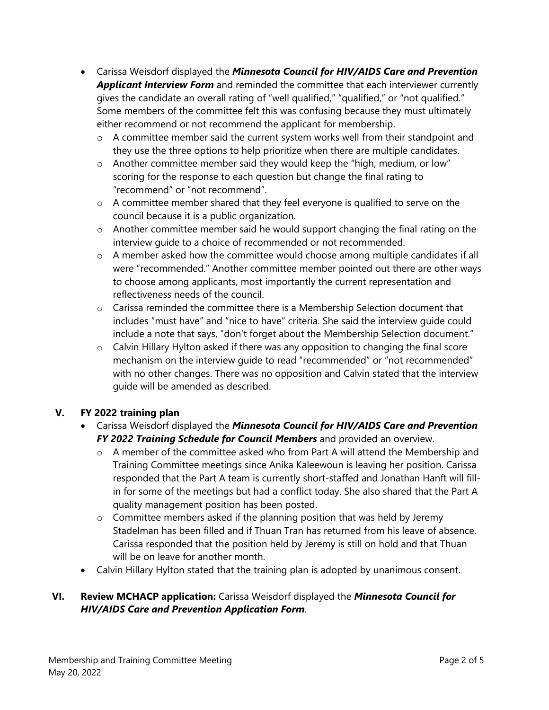- Carissa Weisdorf displayed the *Minnesota Council for HIV/AIDS Care and Prevention Applicant Interview Form* and reminded the committee that each interviewer currently gives the candidate an overall rating of "well qualified," "qualified," or "not qualified." Some members of the committee felt this was confusing because they must ultimately either recommend or not recommend the applicant for membership.
	- o A committee member said the current system works well from their standpoint and they use the three options to help prioritize when there are multiple candidates.
	- o Another committee member said they would keep the "high, medium, or low" scoring for the response to each question but change the final rating to "recommend" or "not recommend".
	- $\circ$  A committee member shared that they feel everyone is qualified to serve on the council because it is a public organization.
	- $\circ$  Another committee member said he would support changing the final rating on the interview guide to a choice of recommended or not recommended.
	- $\circ$  A member asked how the committee would choose among multiple candidates if all were "recommended." Another committee member pointed out there are other ways to choose among applicants, most importantly the current representation and reflectiveness needs of the council.
	- $\circ$  Carissa reminded the committee there is a Membership Selection document that includes "must have" and "nice to have" criteria. She said the interview guide could include a note that says, "don't forget about the Membership Selection document."
	- o Calvin Hillary Hylton asked if there was any opposition to changing the final score mechanism on the interview guide to read "recommended" or "not recommended" with no other changes. There was no opposition and Calvin stated that the interview guide will be amended as described.

# **V. FY 2022 training plan**

- Carissa Weisdorf displayed the *Minnesota Council for HIV/AIDS Care and Prevention FY 2022 Training Schedule for Council Members* and provided an overview.
	- o A member of the committee asked who from Part A will attend the Membership and Training Committee meetings since Anika Kaleewoun is leaving her position. Carissa responded that the Part A team is currently short-staffed and Jonathan Hanft will fillin for some of the meetings but had a conflict today. She also shared that the Part A quality management position has been posted.
	- o Committee members asked if the planning position that was held by Jeremy Stadelman has been filled and if Thuan Tran has returned from his leave of absence. Carissa responded that the position held by Jeremy is still on hold and that Thuan will be on leave for another month.
- Calvin Hillary Hylton stated that the training plan is adopted by unanimous consent.

## **VI. Review MCHACP application:** Carissa Weisdorf displayed the *Minnesota Council for HIV/AIDS Care and Prevention Application Form*.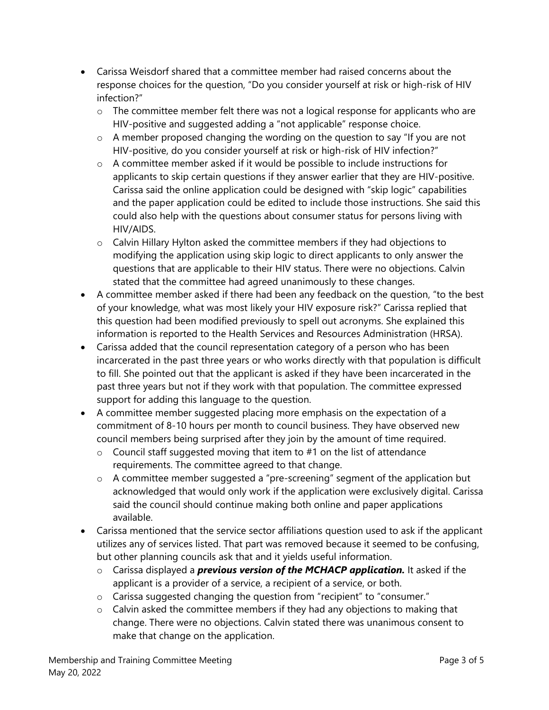- Carissa Weisdorf shared that a committee member had raised concerns about the response choices for the question, "Do you consider yourself at risk or high-risk of HIV infection?"
	- $\circ$  The committee member felt there was not a logical response for applicants who are HIV-positive and suggested adding a "not applicable" response choice.
	- o A member proposed changing the wording on the question to say "If you are not HIV-positive, do you consider yourself at risk or high-risk of HIV infection?"
	- o A committee member asked if it would be possible to include instructions for applicants to skip certain questions if they answer earlier that they are HIV-positive. Carissa said the online application could be designed with "skip logic" capabilities and the paper application could be edited to include those instructions. She said this could also help with the questions about consumer status for persons living with HIV/AIDS.
	- $\circ$  Calvin Hillary Hylton asked the committee members if they had objections to modifying the application using skip logic to direct applicants to only answer the questions that are applicable to their HIV status. There were no objections. Calvin stated that the committee had agreed unanimously to these changes.
- A committee member asked if there had been any feedback on the question, "to the best of your knowledge, what was most likely your HIV exposure risk?" Carissa replied that this question had been modified previously to spell out acronyms. She explained this information is reported to the Health Services and Resources Administration (HRSA).
- Carissa added that the council representation category of a person who has been incarcerated in the past three years or who works directly with that population is difficult to fill. She pointed out that the applicant is asked if they have been incarcerated in the past three years but not if they work with that population. The committee expressed support for adding this language to the question.
- A committee member suggested placing more emphasis on the expectation of a commitment of 8-10 hours per month to council business. They have observed new council members being surprised after they join by the amount of time required.
	- $\circ$  Council staff suggested moving that item to #1 on the list of attendance requirements. The committee agreed to that change.
	- o A committee member suggested a "pre-screening" segment of the application but acknowledged that would only work if the application were exclusively digital. Carissa said the council should continue making both online and paper applications available.
- Carissa mentioned that the service sector affiliations question used to ask if the applicant utilizes any of services listed. That part was removed because it seemed to be confusing, but other planning councils ask that and it yields useful information.
	- o Carissa displayed a *previous version of the MCHACP application.* It asked if the applicant is a provider of a service, a recipient of a service, or both.
	- o Carissa suggested changing the question from "recipient" to "consumer."
	- $\circ$  Calvin asked the committee members if they had any objections to making that change. There were no objections. Calvin stated there was unanimous consent to make that change on the application.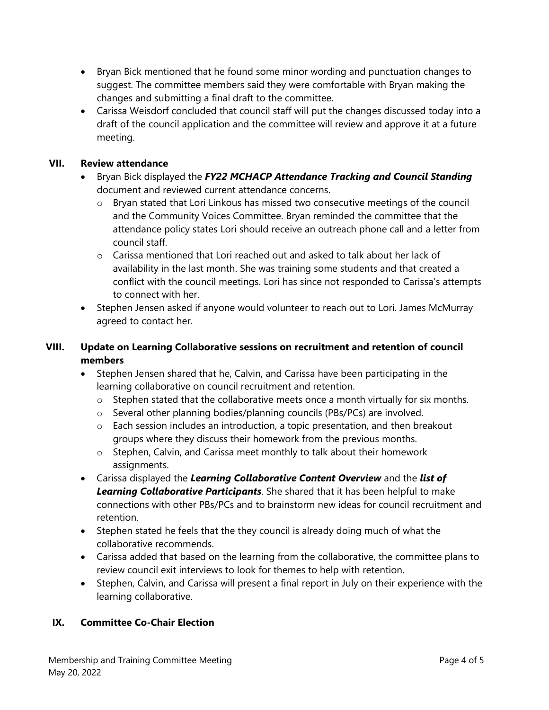- Bryan Bick mentioned that he found some minor wording and punctuation changes to suggest. The committee members said they were comfortable with Bryan making the changes and submitting a final draft to the committee.
- Carissa Weisdorf concluded that council staff will put the changes discussed today into a draft of the council application and the committee will review and approve it at a future meeting.

### **VII. Review attendance**

- Bryan Bick displayed the *FY22 MCHACP Attendance Tracking and Council Standing* document and reviewed current attendance concerns.
	- o Bryan stated that Lori Linkous has missed two consecutive meetings of the council and the Community Voices Committee. Bryan reminded the committee that the attendance policy states Lori should receive an outreach phone call and a letter from council staff.
	- $\circ$  Carissa mentioned that Lori reached out and asked to talk about her lack of availability in the last month. She was training some students and that created a conflict with the council meetings. Lori has since not responded to Carissa's attempts to connect with her.
- Stephen Jensen asked if anyone would volunteer to reach out to Lori. James McMurray agreed to contact her.

### **VIII. Update on Learning Collaborative sessions on recruitment and retention of council members**

- Stephen Jensen shared that he, Calvin, and Carissa have been participating in the learning collaborative on council recruitment and retention.
	- o Stephen stated that the collaborative meets once a month virtually for six months.
	- o Several other planning bodies/planning councils (PBs/PCs) are involved.
	- o Each session includes an introduction, a topic presentation, and then breakout groups where they discuss their homework from the previous months.
	- o Stephen, Calvin, and Carissa meet monthly to talk about their homework assignments.
- Carissa displayed the *Learning Collaborative Content Overview* and the *list of Learning Collaborative Participants*. She shared that it has been helpful to make connections with other PBs/PCs and to brainstorm new ideas for council recruitment and retention.
- Stephen stated he feels that the they council is already doing much of what the collaborative recommends.
- Carissa added that based on the learning from the collaborative, the committee plans to review council exit interviews to look for themes to help with retention.
- Stephen, Calvin, and Carissa will present a final report in July on their experience with the learning collaborative.

### **IX. Committee Co-Chair Election**